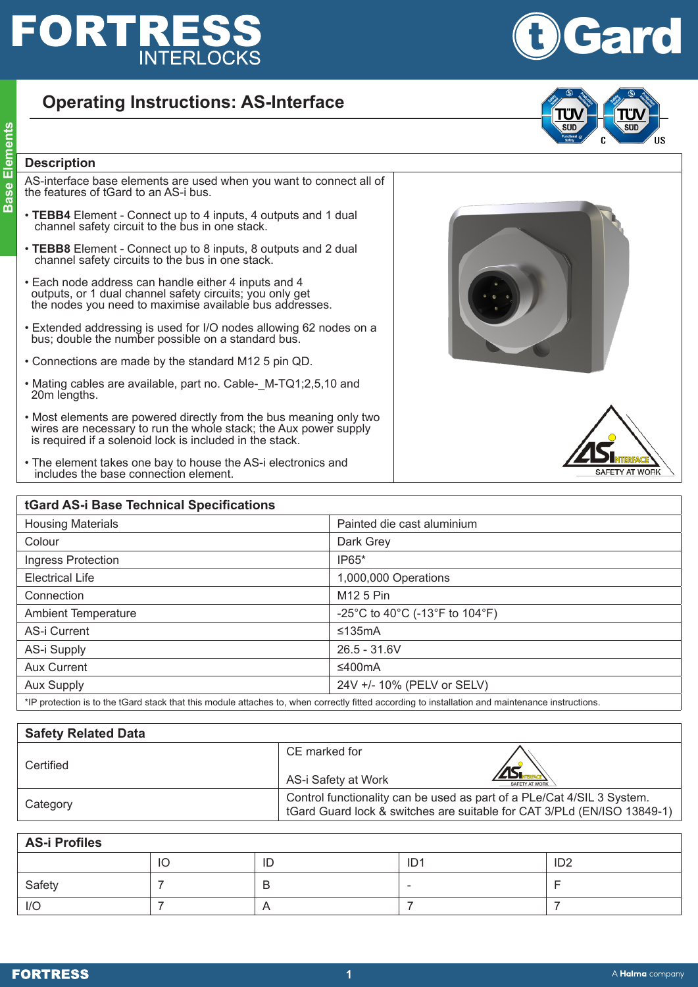## **FORTRES: INTERLOCKS**

## **Operating Instructions: AS-Interface**

**Base Elements**<br> **Base Elements**<br> **Base Elements**<br> **Base Elements**<br> **Base Elements** AS-interface base elements are used when you want to connect all of the features of tGard to an AS-i bus.

- **TEBB4** Element Connect up to 4 inputs, 4 outputs and 1 dual channel safety circuit to the bus in one stack.
- **TEBB8** Element Connect up to 8 inputs, 8 outputs and 2 dual channel safety circuits to the bus in one stack.
- Each node address can handle either 4 inputs and 4 outputs, or 1 dual channel safety circuits; you only get the nodes you need to maximise available bus addresses.
- Extended addressing is used for I/O nodes allowing 62 nodes on a bus; double the number possible on a standard bus.
- Connections are made by the standard M12 5 pin QD.
- Mating cables are available, part no. Cable- M-TQ1;2,5,10 and 20m lengths.
- Most elements are powered directly from the bus meaning only two wires are necessary to run the whole stack; the Aux power supply is required if a solenoid lock is included in the stack.
- The element takes one bay to house the AS-i electronics and includes the base connection element.

| tGard AS-i Base Technical Specifications                                                                                               |                                |  |  |  |
|----------------------------------------------------------------------------------------------------------------------------------------|--------------------------------|--|--|--|
| <b>Housing Materials</b>                                                                                                               | Painted die cast aluminium     |  |  |  |
| Colour                                                                                                                                 | Dark Grey                      |  |  |  |
| Ingress Protection                                                                                                                     | IP65*                          |  |  |  |
| <b>Electrical Life</b>                                                                                                                 | 1,000,000 Operations           |  |  |  |
| Connection                                                                                                                             | M <sub>12</sub> 5 Pin          |  |  |  |
| <b>Ambient Temperature</b>                                                                                                             | -25°C to 40°C (-13°F to 104°F) |  |  |  |
| AS-i Current                                                                                                                           | ≤135mA                         |  |  |  |
| AS-i Supply                                                                                                                            | $26.5 - 31.6V$                 |  |  |  |
| Aux Current                                                                                                                            | ≤400mA                         |  |  |  |
| <b>Aux Supply</b>                                                                                                                      | 24V +/- 10% (PELV or SELV)     |  |  |  |
| ♦ID a search at the London and anti-search and and a search and a search. But the search and the first and architecture to a search as |                                |  |  |  |

\*IP protection is to the tGard stack that this module attaches to, when correctly fitted according to installation and maintenance instructions.

| <b>Safety Related Data</b> |                                                                                                                                                   |  |
|----------------------------|---------------------------------------------------------------------------------------------------------------------------------------------------|--|
| Certified                  | CE marked for                                                                                                                                     |  |
|                            | AS-i Safety at Work<br>SAFETY AT WORK                                                                                                             |  |
| Category                   | Control functionality can be used as part of a PLe/Cat 4/SIL 3 System.<br>tGard Guard lock & switches are suitable for CAT 3/PLd (EN/ISO 13849-1) |  |

| <b>AS-i Profiles</b> |    |            |                 |                 |  |  |
|----------------------|----|------------|-----------------|-----------------|--|--|
|                      | IO | ID         | ID <sup>1</sup> | ID <sub>2</sub> |  |  |
| Safety               |    | D          |                 |                 |  |  |
| I/O                  |    | $\sqrt{ }$ |                 |                 |  |  |





**AFETY AT WORK** 

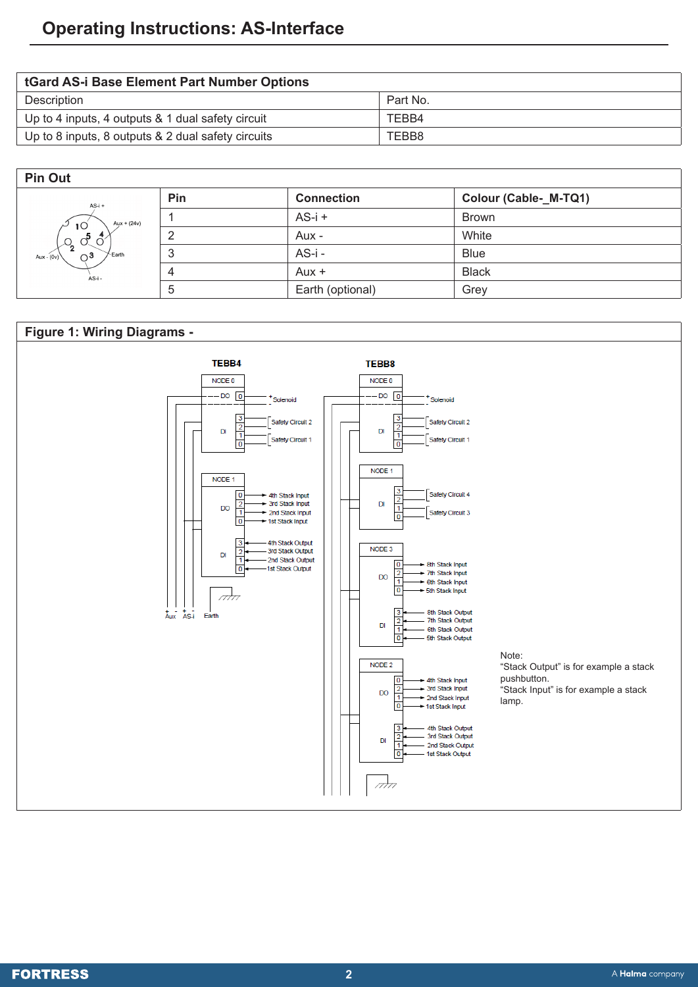| tGard AS-i Base Element Part Number Options        |          |  |  |  |
|----------------------------------------------------|----------|--|--|--|
| Description                                        | Part No. |  |  |  |
| Up to 4 inputs, 4 outputs & 1 dual safety circuit  | TEBB4    |  |  |  |
| Up to 8 inputs, 8 outputs & 2 dual safety circuits | TEBB8    |  |  |  |

## **Pin Out**

| AS-i +<br>Aux + $(24v)$<br>$1^{\circ}$<br>$\circ$ <sup>5</sup><br>$\mathcal{L}_{2}$ | Pin          | <b>Connection</b> | Colour (Cable-_M-TQ1) |
|-------------------------------------------------------------------------------------|--------------|-------------------|-----------------------|
|                                                                                     |              | $AS-i +$          | <b>Brown</b>          |
|                                                                                     |              | Aux -             | White                 |
| <sup>∠</sup> Earth<br>$\bigcap_{i=1}^{\infty}$<br>Aux - $(0v)$                      | 3            | $AS-i -$          | Blue                  |
| AS-i -                                                                              | 4            | $Aux +$           | <b>Black</b>          |
|                                                                                     | <sub>5</sub> | Earth (optional)  | Grey                  |